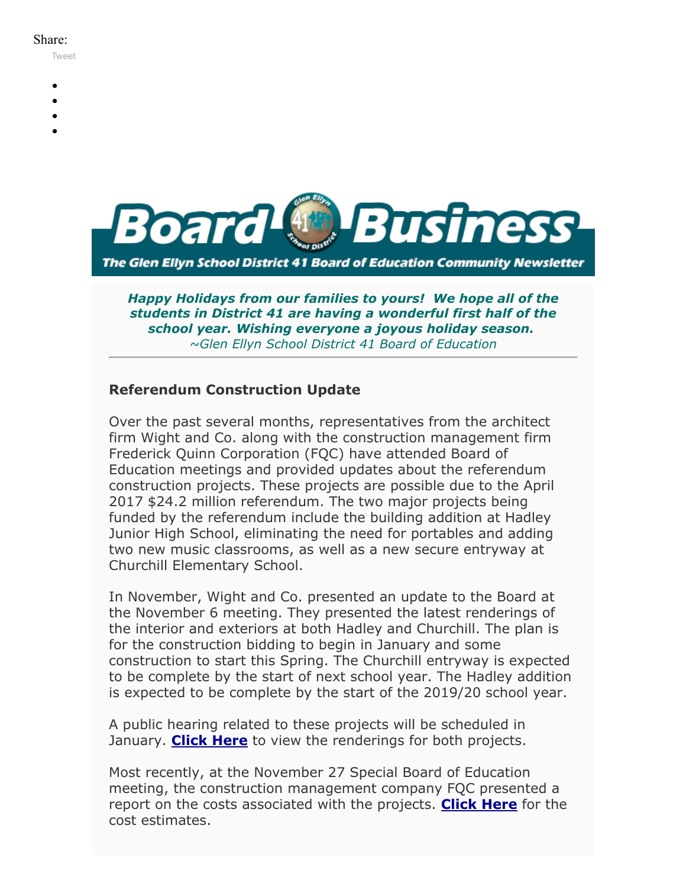#### Share:

[Tweet](https://twitter.com/intent/tweet?original_referer=https%3A%2F%2Fmyemail.constantcontact.com%2FBoard-Business----December-2017.html%3Fsoid%3D1102200973173%26aid%3DTSBu_J-Rw60&ref_src=twsrc%5Etfw&text=Board%20Business%20%3A%3A%20December%202017&tw_p=tweetbutton&url=https%3A%2F%2Fmyemail.constantcontact.com%2FBoard-Business----December-2017.html%3Fsoid%3D1102200973173%26aid%3DTSBu_J-Rw60)

- 
- 
- 
- 
- 



*Happy Holidays from our families to yours! We hope all of the students in District 41 are having a wonderful first half of the school year. Wishing everyone a joyous holiday season. ~Glen Ellyn School District 41 Board of Education*

#### **Referendum Construction Update**

Over the past several months, representatives from the architect firm Wight and Co. along with the construction management firm Frederick Quinn Corporation (FQC) have attended Board of Education meetings and provided updates about the referendum construction projects. These projects are possible due to the April 2017 \$24.2 million referendum. The two major projects being funded by the referendum include the building addition at Hadley Junior High School, eliminating the need for portables and adding two new music classrooms, as well as a new secure entryway at Churchill Elementary School.

In November, Wight and Co. presented an update to the Board at the November 6 meeting. They presented the latest renderings of the interior and exteriors at both Hadley and Churchill. The plan is for the construction bidding to begin in January and some construction to start this Spring. The Churchill entryway is expected to be complete by the start of next school year. The Hadley addition is expected to be complete by the start of the 2019/20 school year.

A public hearing related to these projects will be scheduled in January. **[Click Here](https://v3.boardbook.org/Public/PublicItemDownload.aspx?ik=41496686)** to view the renderings for both projects.

Most recently, at the November 27 Special Board of Education meeting, the construction management company FQC presented a report on the costs associated with the projects. **[Click Here](https://v3.boardbook.org/Public/PublicItemDownload.aspx?ik=41585364)** for the cost estimates.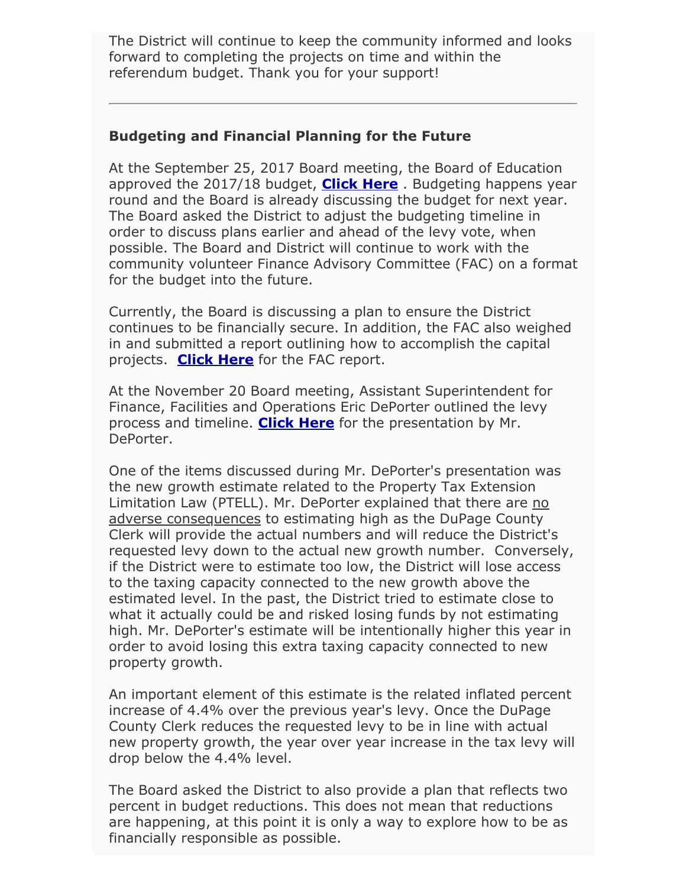The District will continue to keep the community informed and looks forward to completing the projects on time and within the referendum budget. Thank you for your support!

#### **Budgeting and Financial Planning for the Future**

At the September 25, 2017 Board meeting, the Board of Education approved the 2017/18 budget, **[Click Here](https://www.youtube.com/watch?v=W4YvKyH2tT0&t=2h28m20s)** . Budgeting happens year round and the Board is already discussing the budget for next year. The Board asked the District to adjust the budgeting timeline in order to discuss plans earlier and ahead of the levy vote, when possible. The Board and District will continue to work with the community volunteer Finance Advisory Committee (FAC) on a format for the budget into the future.

Currently, the Board is discussing a plan to ensure the District continues to be financially secure. In addition, the FAC also weighed in and submitted a report outlining how to accomplish the capital projects. **[Click Here](https://v3.boardbook.org/Public/PublicItemDownload.aspx?ik=41496494)** for the FAC report.

At the November 20 Board meeting, Assistant Superintendent for Finance, Facilities and Operations Eric DePorter outlined the levy process and timeline. **[Click Here](https://v3.boardbook.org/Public/PublicItemDownload.aspx?ik=41567536)** for the presentation by Mr. DePorter.

One of the items discussed during Mr. DePorter's presentation was the new growth estimate related to the Property Tax Extension Limitation Law (PTELL). Mr. DePorter explained that there are no adverse consequences to estimating high as the DuPage County Clerk will provide the actual numbers and will reduce the District's requested levy down to the actual new growth number. Conversely, if the District were to estimate too low, the District will lose access to the taxing capacity connected to the new growth above the estimated level. In the past, the District tried to estimate close to what it actually could be and risked losing funds by not estimating high. Mr. DePorter's estimate will be intentionally higher this year in order to avoid losing this extra taxing capacity connected to new property growth.

An important element of this estimate is the related inflated percent increase of 4.4% over the previous year's levy. Once the DuPage County Clerk reduces the requested levy to be in line with actual new property growth, the year over year increase in the tax levy will drop below the 4.4% level.

The Board asked the District to also provide a plan that reflects two percent in budget reductions. This does not mean that reductions are happening, at this point it is only a way to explore how to be as financially responsible as possible.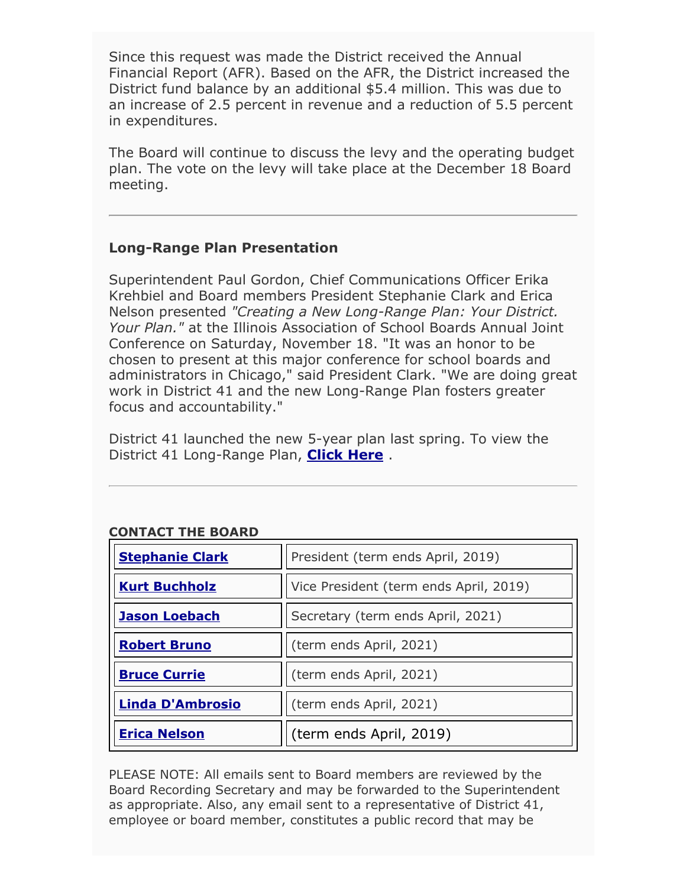Since this request was made the District received the Annual Financial Report (AFR). Based on the AFR, the District increased the District fund balance by an additional \$5.4 million. This was due to an increase of 2.5 percent in revenue and a reduction of 5.5 percent in expenditures.

The Board will continue to discuss the levy and the operating budget plan. The vote on the levy will take place at the December 18 Board meeting.

### **Long-Range Plan Presentation**

Superintendent Paul Gordon, Chief Communications Officer Erika Krehbiel and Board members President Stephanie Clark and Erica Nelson presented *"Creating a New Long-Range Plan: Your District. Your Plan."* at the Illinois Association of School Boards Annual Joint Conference on Saturday, November 18. "It was an honor to be chosen to present at this major conference for school boards and administrators in Chicago," said President Clark. "We are doing great work in District 41 and the new Long-Range Plan fosters greater focus and accountability."

District 41 launched the new 5-year plan last spring. To view the District 41 Long-Range Plan, **[Click Here](http://www.d41.org/lrp)** .

| <b>Stephanie Clark</b>  | President (term ends April, 2019)      |
|-------------------------|----------------------------------------|
| <b>Kurt Buchholz</b>    | Vice President (term ends April, 2019) |
| <b>Jason Loebach</b>    | Secretary (term ends April, 2021)      |
| <b>Robert Bruno</b>     | (term ends April, 2021)                |
| <b>Bruce Currie</b>     | (term ends April, 2021)                |
| <b>Linda D'Ambrosio</b> | (term ends April, 2021)                |
| <b>Erica Nelson</b>     | (term ends April, 2019)                |

## **CONTACT THE BOARD**

PLEASE NOTE: All emails sent to Board members are reviewed by the Board Recording Secretary and may be forwarded to the Superintendent as appropriate. Also, any email sent to a representative of District 41, employee or board member, constitutes a public record that may be